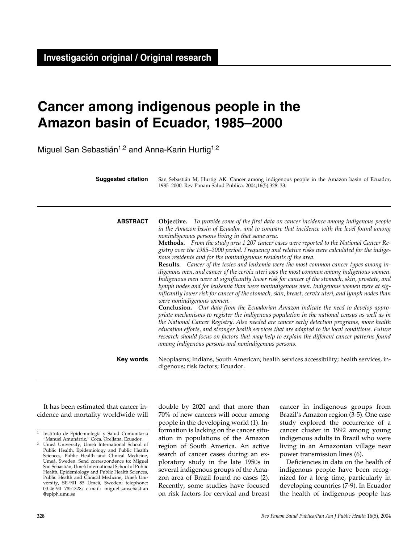# **Cancer among indigenous people in the Amazon basin of Ecuador, 1985–2000**

Miguel San Sebastián<sup>1,2</sup> and Anna-Karin Hurtig<sup>1,2</sup>

| <b>Suggested citation</b> | San Sebastián M, Hurtig AK. Cancer among indigenous people in the Amazon basin of Ecuador,<br>1985-2000. Rev Panam Salud Publica. 2004;16(5):328-33.                                                                                                                                                                                                                                                                                                                                                                                          |  |  |  |  |
|---------------------------|-----------------------------------------------------------------------------------------------------------------------------------------------------------------------------------------------------------------------------------------------------------------------------------------------------------------------------------------------------------------------------------------------------------------------------------------------------------------------------------------------------------------------------------------------|--|--|--|--|
| <b>ABSTRACT</b>           | <b>Objective.</b> To provide some of the first data on cancer incidence among indigenous people<br>in the Amazon basin of Ecuador, and to compare that incidence with the level found among                                                                                                                                                                                                                                                                                                                                                   |  |  |  |  |
|                           | nonindigenous persons living in that same area.<br>Methods. From the study area 1 207 cancer cases were reported to the National Cancer Re-<br>gistry over the 1985–2000 period. Frequency and relative risks were calculated for the indige-<br>nous residents and for the nonindigenous residents of the area.<br><b>Results.</b> Cancer of the testes and leukemia were the most common cancer types among in-<br>digenous men, and cancer of the cervix uteri was the most common among indigenous women.                                 |  |  |  |  |
|                           | Indigenous men were at significantly lower risk for cancer of the stomach, skin, prostate, and<br>lymph nodes and for leukemia than were nonindigenous men. Indigenous women were at sig-<br>nificantly lower risk for cancer of the stomach, skin, breast, cervix uteri, and lymph nodes than<br>were nonindigenous women.                                                                                                                                                                                                                   |  |  |  |  |
|                           | Conclusion. Our data from the Ecuadorian Amazon indicate the need to develop appro-<br>priate mechanisms to register the indigenous population in the national census as well as in<br>the National Cancer Registry. Also needed are cancer early detection programs, more health<br>education efforts, and stronger health services that are adapted to the local conditions. Future<br>research should focus on factors that may help to explain the different cancer patterns found<br>among indigenous persons and nonindigenous persons. |  |  |  |  |
| Key words                 | Neoplasms; Indians, South American; health services accessibility; health services, in-<br>digenous; risk factors; Ecuador.                                                                                                                                                                                                                                                                                                                                                                                                                   |  |  |  |  |

It has been estimated that cancer incidence and mortality worldwide will double by 2020 and that more than 70% of new cancers will occur among people in the developing world (1). Information is lacking on the cancer situation in populations of the Amazon region of South America. An active search of cancer cases during an exploratory study in the late 1950s in several indigenous groups of the Amazon area of Brazil found no cases (2). Recently, some studies have focused on risk factors for cervical and breast

cancer in indigenous groups from Brazil's Amazon region (3-5). One case study explored the occurrence of a cancer cluster in 1992 among young indigenous adults in Brazil who were living in an Amazonian village near power transmission lines (6).

Deficiencies in data on the health of indigenous people have been recognized for a long time, particularly in developing countries (7-9). In Ecuador the health of indigenous people has

<sup>&</sup>lt;sup>1</sup> Instituto de Epidemiología y Salud Comunitaria<br>"Manuel Amunárriz," Coca, Orellana, Ecuador.

Umeå University, Umeå International School of Public Health, Epidemiology and Public Health Sciences, Public Health and Clinical Medicine, Umeå, Sweden. Send correspondence to: Miguel San Sebastián, Umeå International School of Public Health, Epidemiology and Public Health Sciences, Public Health and Clinical Medicine, Umeå University, SE-901 85 Umeå, Sweden; telephone: 00-46-90 7851328; e-mail: miguel.sansebastian @epiph.umu.se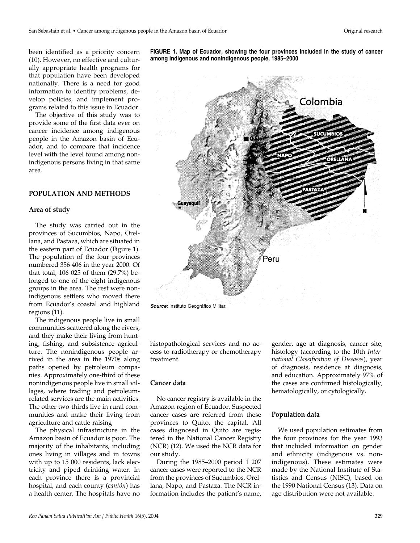been identified as a priority concern (10). However, no effective and culturally appropriate health programs for that population have been developed nationally. There is a need for good information to identify problems, develop policies, and implement programs related to this issue in Ecuador.

The objective of this study was to provide some of the first data ever on cancer incidence among indigenous people in the Amazon basin of Ecuador, and to compare that incidence level with the level found among nonindigenous persons living in that same area.

## **POPULATION AND METHODS**

#### **Area of study**

The study was carried out in the provinces of Sucumbios, Napo, Orellana, and Pastaza, which are situated in the eastern part of Ecuador (Figure 1). The population of the four provinces numbered 356 406 in the year 2000. Of that total, 106 025 of them (29.7%) belonged to one of the eight indigenous groups in the area. The rest were nonindigenous settlers who moved there from Ecuador's coastal and highland regions (11).

The indigenous people live in small communities scattered along the rivers, and they make their living from hunting, fishing, and subsistence agriculture. The nonindigenous people arrived in the area in the 1970s along paths opened by petroleum companies. Approximately one-third of these nonindigenous people live in small villages, where trading and petroleumrelated services are the main activities. The other two-thirds live in rural communities and make their living from agriculture and cattle-raising

The physical infrastructure in the Amazon basin of Ecuador is poor. The majority of the inhabitants, including ones living in villages and in towns with up to 15 000 residents, lack electricity and piped drinking water. In each province there is a provincial hospital, and each county (*cantón*) has a health center. The hospitals have no

**FIGURE 1. Map of Ecuador, showing the four provinces included in the study of cancer among indigenous and nonindigenous people, 1985–2000**



*Source:* Instituto Geográfico Militar.

histopathological services and no access to radiotherapy or chemotherapy treatment.

### **Cancer data**

No cancer registry is available in the Amazon region of Ecuador. Suspected cancer cases are referred from these provinces to Quito, the capital. All cases diagnosed in Quito are registered in the National Cancer Registry (NCR) (12). We used the NCR data for our study.

During the 1985–2000 period 1 207 cancer cases were reported to the NCR from the provinces of Sucumbios, Orellana, Napo, and Pastaza. The NCR information includes the patient's name, gender, age at diagnosis, cancer site, histology (according to the 10th *International Classification of Diseases*), year of diagnosis, residence at diagnosis, and education. Approximately 97% of the cases are confirmed histologically, hematologically, or cytologically.

## **Population data**

We used population estimates from the four provinces for the year 1993 that included information on gender and ethnicity (indigenous vs. nonindigenous). These estimates were made by the National Institute of Statistics and Census (NISC), based on the 1990 National Census (13). Data on age distribution were not available.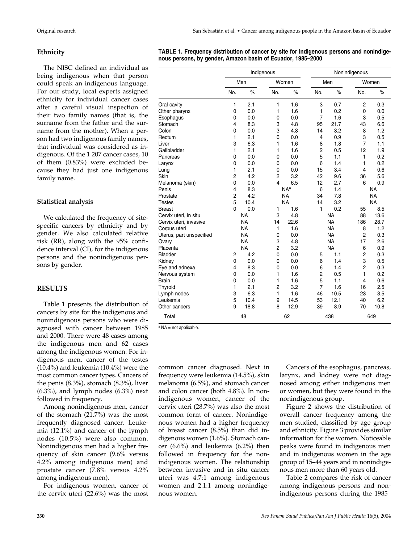## **Ethnicity**

The NISC defined an individual as being indigenous when that person could speak an indigenous language. For our study, local experts assigned ethnicity for individual cancer cases after a careful visual inspection of their two family names (that is, the surname from the father and the surname from the mother). When a person had two indigenous family names, that individual was considered as indigenous. Of the 1 207 cancer cases, 10 of them (0.83%) were excluded because they had just one indigenous family name.

# **Statistical analysis**

We calculated the frequency of sitespecific cancers by ethnicity and by gender. We also calculated relative risk (RR), along with the 95% confidence interval (CI), for the indigenous persons and the nonindigenous persons by gender.

# **RESULTS**

Table 1 presents the distribution of cancers by site for the indigenous and nonindigenous persons who were diagnosed with cancer between 1985 and 2000. There were 48 cases among the indigenous men and 62 cases among the indigenous women. For indigenous men, cancer of the testes (10.4%) and leukemia (10.4%) were the most common cancer types. Cancers of the penis (8.3%), stomach (8.3%), liver  $(6.3\%)$ , and lymph nodes  $(6.3\%)$  next followed in frequency.

Among nonindigenous men, cancer of the stomach (21.7%) was the most frequently diagnosed cancer. Leukemia (12.1%) and cancer of the lymph nodes (10.5%) were also common. Nonindigenous men had a higher frequency of skin cancer (9.6% versus 4.2% among indigenous men) and prostate cancer (7.8% versus 4.2% among indigenous men).

For indigenous women, cancer of the cervix uteri (22.6%) was the most

| TABLE 1. Frequency distribution of cancer by site for indigenous persons and nonindige- |
|-----------------------------------------------------------------------------------------|
| nous persons, by gender, Amazon basin of Ecuador, 1985–2000                             |

|                          | Indigenous     |           |                |            | Nonindigenous  |           |                |           |
|--------------------------|----------------|-----------|----------------|------------|----------------|-----------|----------------|-----------|
|                          | Men            |           | Women          |            | Men            |           | Women          |           |
|                          | No.            | $\%$      | No.            | $\%$       | No.            | $\%$      | No.            | $\%$      |
| Oral cavity              | 1              | 2.1       | 1              | 1.6        | 3              | 0.7       | 2              | 0.3       |
| Other pharynx            | 0              | 0.0       | 1              | 1.6        | 1              | 0.2       | 0              | 0.0       |
| Esophagus                | 0              | 0.0       | 0              | 0.0        | $\overline{7}$ | 1.6       | 3              | 0.5       |
| Stomach                  | 4              | 8.3       | 3              | 4.8        | 95             | 21.7      | 43             | 6.6       |
| Colon                    | 0              | 0.0       | 3              | 4.8        | 14             | 3.2       | 8              | 1.2       |
| Rectum                   | 1              | 2.1       | 0              | 0.0        | 4              | 0.9       | 3              | 0.5       |
| Liver                    | 3              | 6.3       | 1              | 1.6        | 8              | 1.8       | $\overline{7}$ | 1.1       |
| Gallbladder              | 1              | 2.1       | 1              | 1.6        | $\overline{2}$ | 0.5       | 12             | 1.9       |
| Pancreas                 | 0              | 0.0       | 0              | 0.0        | 5              | 1.1       | 1              | 0.2       |
| Larynx                   | 0              | 0.0       | 0              | 0.0        | 6              | 1.4       | 1              | 0.2       |
| Lung                     | 1              | 2.1       | 0              | 0.0        | 15             | 3.4       | $\overline{4}$ | 0.6       |
| Skin                     | 2              | 4.2       | $\overline{2}$ | 3.2        | 42             | 9.6       | 36             | 5.6       |
| Melanoma (skin)          | 0              | 0.0       | 4              | 6.5        | 12             | 2.7       | 6              | 0.9       |
| Penis                    | 4              | 8.3       |                | <b>NAa</b> | 6              | 1.4       |                | <b>NA</b> |
| Prostate                 | $\overline{c}$ | 4.2       |                | <b>NA</b>  | 34             | 7.8       |                | <b>NA</b> |
| <b>Testes</b>            | 5              | 10.4      |                | <b>NA</b>  | 14             | 3.2       |                | <b>NA</b> |
| <b>Breast</b>            | $\mathbf 0$    | 0.0       | 1              | 1.6        | 1              | 0.2       | 55             | 8.5       |
| Cervix uteri, in situ    |                | <b>NA</b> | 3              | 4.8        |                | <b>NA</b> | 88             | 13.6      |
| Cervix uteri, invasive   |                | <b>NA</b> | 14             | 22.6       |                | <b>NA</b> | 186            | 28.7      |
| Corpus uteri             |                | <b>NA</b> | 1              | 1.6        |                | <b>NA</b> | 8              | 1.2       |
| Uterus, part unspecified |                | <b>NA</b> | 0              | 0.0        |                | <b>NA</b> | $\overline{c}$ | 0.3       |
| Ovary                    |                | <b>NA</b> | 3              | 4.8        |                | <b>NA</b> | 17             | 2.6       |
| Placenta                 |                | <b>NA</b> | 2              | 3.2        |                | <b>NA</b> | 6              | 0.9       |
| Bladder                  | $\overline{c}$ | 4.2       | 0              | 0.0        | 5              | 1.1       | 2              | 0.3       |
| Kidnev                   | 0              | 0.0       | 0              | 0.0        | 6              | 1.4       | 3              | 0.5       |
| Eye and adnexa           | 4              | 8.3       | 0              | 0.0        | 6              | 1.4       | $\overline{2}$ | 0.3       |
| Nervous system           | 0              | 0.0       | 1              | 1.6        | $\overline{c}$ | 0.5       | 1              | 0.2       |
| Brain                    | 0              | 0.0       | 1              | 1.6        | 5              | 1.1       | 4              | 0.6       |
| Thyroid                  | 1              | 2.1       | $\overline{c}$ | 3.2        | $\overline{7}$ | 1.6       | 16             | 2.5       |
| Lymph nodes              | 3              | 6.3       | 1              | 1.6        | 46             | 10.5      | 23             | 3.5       |
| Leukemia                 | 5              | 10.4      | 9              | 14.5       | 53             | 12.1      | 40             | 6.2       |
| Other cancers            | 9              | 18.8      | 8              | 12.9       | 39             | 8.9       | 70             | 10.8      |
| Total                    |                | 48        |                | 62         |                | 438       |                | 649       |

a NA = not applicable.

common cancer diagnosed. Next in frequency were leukemia (14.5%), skin melanoma (6.5%), and stomach cancer and colon cancer (both 4.8%). In nonindigenous women, cancer of the cervix uteri (28.7%) was also the most common form of cancer. Nonindigenous women had a higher frequency of breast cancer (8.5%) than did indigenous women (1.6%). Stomach cancer (6.6%) and leukemia (6.2%) then followed in frequency for the nonindigenous women. The relationship between invasive and in situ cancer uteri was 4.7:1 among indigenous women and 2.1:1 among nonindigenous women.

Cancers of the esophagus, pancreas, larynx, and kidney were not diagnosed among either indigenous men or women, but they were found in the nonindigenous group.

Figure 2 shows the distribution of overall cancer frequency among the men studied, classified by age group and ethnicity. Figure 3 provides similar information for the women. Noticeable peaks were found in indigenous men and in indigenous women in the age group of 15–44 years and in nonindigenous men more than 60 years old.

Table 2 compares the risk of cancer among indigenous persons and nonindigenous persons during the 1985–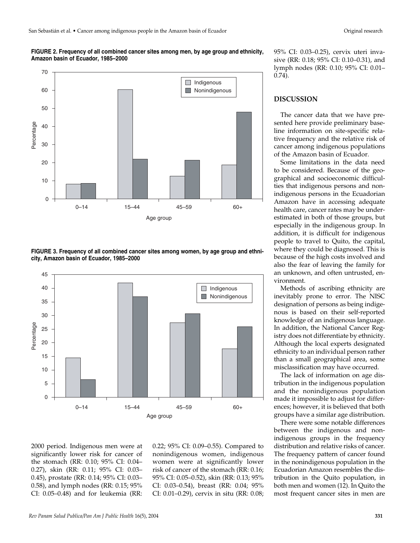



**FIGURE 3. Frequency of all combined cancer sites among women, by age group and ethnicity, Amazon basin of Ecuador, 1985–2000**



2000 period. Indigenous men were at significantly lower risk for cancer of the stomach (RR: 0.10; 95% CI: 0.04– 0.27), skin (RR: 0.11; 95% CI: 0.03– 0.45), prostate (RR: 0.14; 95% CI: 0.03– 0.58), and lymph nodes (RR: 0.15; 95% CI: 0.05–0.48) and for leukemia (RR: 0.22; 95% CI: 0.09–0.55). Compared to nonindigenous women, indigenous women were at significantly lower risk of cancer of the stomach (RR: 0.16; 95% CI: 0.05–0.52), skin (RR: 0.13; 95% CI: 0.03–0.54), breast (RR: 0.04; 95% CI: 0.01–0.29), cervix in situ (RR: 0.08; 95% CI: 0.03–0.25), cervix uteri invasive (RR: 0.18; 95% CI: 0.10–0.31), and lymph nodes (RR: 0.10; 95% CI: 0.01– 0.74).

## **DISCUSSION**

The cancer data that we have presented here provide preliminary baseline information on site-specific relative frequency and the relative risk of cancer among indigenous populations of the Amazon basin of Ecuador.

Some limitations in the data need to be considered. Because of the geographical and socioeconomic difficulties that indigenous persons and nonindigenous persons in the Ecuadorian Amazon have in accessing adequate health care, cancer rates may be underestimated in both of those groups, but especially in the indigenous group. In addition, it is difficult for indigenous people to travel to Quito, the capital, where they could be diagnosed. This is because of the high costs involved and also the fear of leaving the family for an unknown, and often untrusted, environment.

Methods of ascribing ethnicity are inevitably prone to error. The NISC designation of persons as being indigenous is based on their self-reported knowledge of an indigenous language. In addition, the National Cancer Registry does not differentiate by ethnicity. Although the local experts designated ethnicity to an individual person rather than a small geographical area, some misclassification may have occurred.

The lack of information on age distribution in the indigenous population and the nonindigenous population made it impossible to adjust for differences; however, it is believed that both groups have a similar age distribution.

There were some notable differences between the indigenous and nonindigenous groups in the frequency distribution and relative risks of cancer. The frequency pattern of cancer found in the nonindigenous population in the Ecuadorian Amazon resembles the distribution in the Quito population, in both men and women (12). In Quito the most frequent cancer sites in men are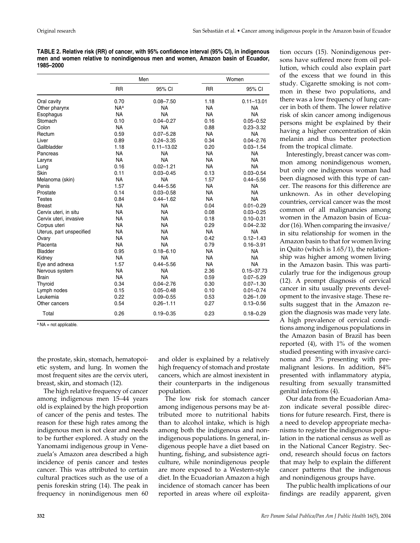**TABLE 2. Relative risk (RR) of cancer, with 95% confidence interval (95% CI), in indigenous men and women relative to nonindigenous men and women, Amazon basin of Ecuador, 1985–2000** 

|                          |                 | Men            | Women     |                |  |
|--------------------------|-----------------|----------------|-----------|----------------|--|
|                          | <b>RR</b>       | 95% CI         | <b>RR</b> | 95% CI         |  |
| Oral cavity              | 0.70            | $0.08 - 7.50$  | 1.18      | $0.11 - 13.01$ |  |
| Other pharynx            | NA <sup>a</sup> | <b>NA</b>      | <b>NA</b> | <b>NA</b>      |  |
| Esophagus                | <b>NA</b>       | <b>NA</b>      | <b>NA</b> | <b>NA</b>      |  |
| Stomach                  | 0.10            | $0.04 - 0.27$  | 0.16      | $0.05 - 0.52$  |  |
| Colon                    | <b>NA</b>       | <b>NA</b>      | 0.88      | $0.23 - 3.32$  |  |
| Rectum                   | 0.59            | $0.07 - 5.28$  | <b>NA</b> | <b>NA</b>      |  |
| Liver                    | 0.89            | $0.24 - 3.35$  | 0.34      | $0.04 - 2.76$  |  |
| Gallbladder              | 1.18            | $0.11 - 13.02$ | 0.20      | $0.03 - 1.54$  |  |
| Pancreas                 | <b>NA</b>       | <b>NA</b>      | <b>NA</b> | <b>NA</b>      |  |
| Larynx                   | <b>NA</b>       | <b>NA</b>      | <b>NA</b> | <b>NA</b>      |  |
| Lung                     | 0.16            | $0.02 - 1.21$  | <b>NA</b> | <b>NA</b>      |  |
| Skin                     | 0.11            | $0.03 - 0.45$  | 0.13      | $0.03 - 0.54$  |  |
| Melanoma (skin)          | <b>NA</b>       | <b>NA</b>      | 1.57      | $0.44 - 5.56$  |  |
| Penis                    | 1.57            | $0.44 - 5.56$  | <b>NA</b> | <b>NA</b>      |  |
| Prostate                 | 0.14            | $0.03 - 0.58$  | <b>NA</b> | <b>NA</b>      |  |
| <b>Testes</b>            | 0.84            | $0.44 - 1.62$  | <b>NA</b> | <b>NA</b>      |  |
| <b>Breast</b>            | <b>NA</b>       | <b>NA</b>      | 0.04      | $0.01 - 0.29$  |  |
| Cervix uteri, in situ    | <b>NA</b>       | <b>NA</b>      | 0.08      | $0.03 - 0.25$  |  |
| Cervix uteri, invasive   | <b>NA</b>       | <b>NA</b>      | 0.18      | $0.10 - 0.31$  |  |
| Corpus uteri             | <b>NA</b>       | <b>NA</b>      | 0.29      | $0.04 - 2.32$  |  |
| Uterus, part unspecified | <b>NA</b>       | <b>NA</b>      | <b>NA</b> | <b>NA</b>      |  |
| Ovary                    | <b>NA</b>       | <b>NA</b>      | 0.42      | $0.12 - 1.43$  |  |
| Placenta                 | <b>NA</b>       | <b>NA</b>      | 0.79      | $0.16 - 3.91$  |  |
| <b>Bladder</b>           | 0.95            | $0.18 - 6.10$  | <b>NA</b> | <b>NA</b>      |  |
| Kidney                   | <b>NA</b>       | <b>NA</b>      | <b>NA</b> | <b>NA</b>      |  |
| Eye and adnexa           | 1.57            | $0.44 - 5.56$  | <b>NA</b> | <b>NA</b>      |  |
| Nervous system           | <b>NA</b>       | <b>NA</b>      | 2.36      | $0.15 - 37.73$ |  |
| <b>Brain</b>             | <b>NA</b>       | <b>NA</b>      | 0.59      | $0.07 - 5.29$  |  |
| Thyroid                  | 0.34            | $0.04 - 2.76$  | 0.30      | $0.07 - 1.30$  |  |
| Lymph nodes              | 0.15            | $0.05 - 0.48$  | 0.10      | $0.01 - 0.74$  |  |
| Leukemia                 | 0.22            | $0.09 - 0.55$  | 0.53      | $0.26 - 1.09$  |  |
| Other cancers            | 0.54            | $0.26 - 1.11$  | 0.27      | $0.13 - 0.56$  |  |
| Total                    | 0.26            | $0.19 - 0.35$  | 0.23      | $0.18 - 0.29$  |  |

<sup>a</sup> NA = not applicable.

the prostate, skin, stomach, hematopoietic system, and lung. In women the most frequent sites are the cervix uteri, breast, skin, and stomach (12).

The high relative frequency of cancer among indigenous men 15–44 years old is explained by the high proportion of cancer of the penis and testes. The reason for these high rates among the indigenous men is not clear and needs to be further explored. A study on the Yanomami indigenous group in Venezuela's Amazon area described a high incidence of penis cancer and testes cancer. This was attributed to certain cultural practices such as the use of a penis foreskin string (14). The peak in frequency in nonindigenous men 60

and older is explained by a relatively high frequency of stomach and prostate cancers, which are almost inexistent in their counterparts in the indigenous population.

The low risk for stomach cancer among indigenous persons may be attributed more to nutritional habits than to alcohol intake, which is high among both the indigenous and nonindigenous populations. In general, indigenous people have a diet based on hunting, fishing, and subsistence agriculture, while nonindigenous people are more exposed to a Western-style diet. In the Ecuadorian Amazon a high incidence of stomach cancer has been reported in areas where oil exploitation occurs (15). Nonindigenous persons have suffered more from oil pollution, which could also explain part of the excess that we found in this study. Cigarette smoking is not common in these two populations, and there was a low frequency of lung cancer in both of them. The lower relative risk of skin cancer among indigenous persons might be explained by their having a higher concentration of skin melanin and thus better protection from the tropical climate.

Interestingly, breast cancer was common among nonindigenous women, but only one indigenous woman had been diagnosed with this type of cancer. The reasons for this difference are unknown. As in other developing countries, cervical cancer was the most common of all malignancies among women in the Amazon basin of Ecuador (16). When comparing the invasive/ in situ relationship for women in the Amazon basin to that for women living in Quito (which is 1.65/1), the relationship was higher among women living in the Amazon basin. This was particularly true for the indigenous group (12). A prompt diagnosis of cervical cancer in situ usually prevents development to the invasive stage. These results suggest that in the Amazon region the diagnosis was made very late. A high prevalence of cervical conditions among indigenous populations in the Amazon basin of Brazil has been reported (4), with 1% of the women studied presenting with invasive carcinoma and 3% presenting with premalignant lesions. In addition, 84% presented with inflammatory atypia, resulting from sexually transmitted genital infections (4).

Our data from the Ecuadorian Amazon indicate several possible directions for future research. First, there is a need to develop appropriate mechanisms to register the indigenous population in the national census as well as in the National Cancer Registry. Second, research should focus on factors that may help to explain the different cancer patterns that the indigenous and nonindigenous groups have.

The public health implications of our findings are readily apparent, given